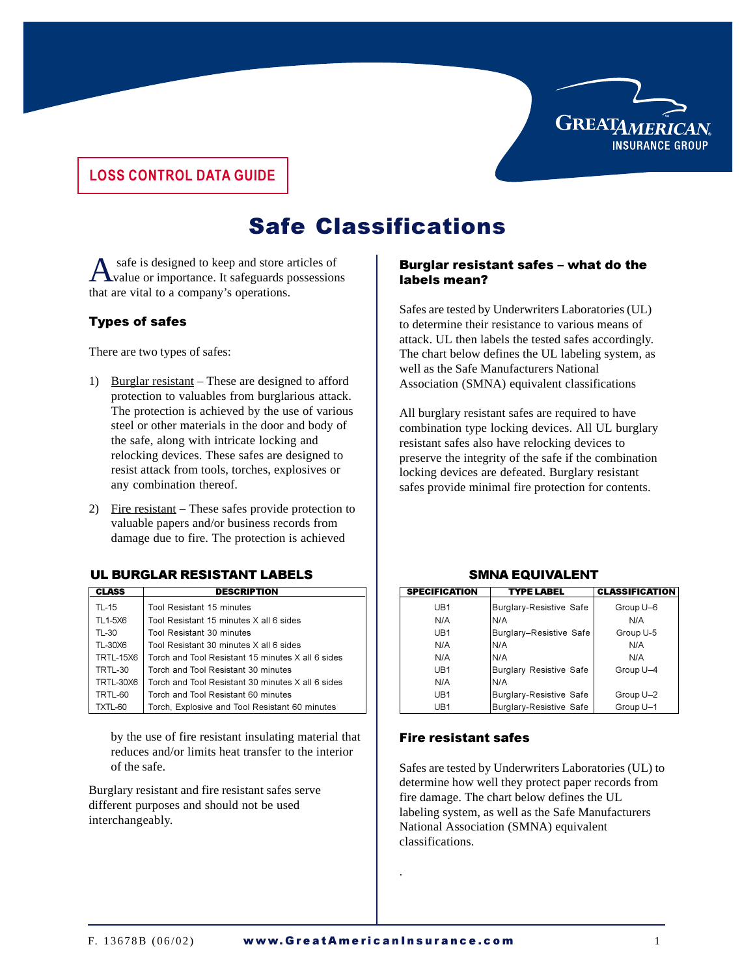

# **LOSS CONTROL DATA GUIDE**

# **Safe Classifications**

A safe is designed to keep and store articles of value or importance. It safeguards possessions that are vital to a company's operations.

### Types of safes

There are two types of safes:

- 1) Burglar resistant These are designed to afford protection to valuables from burglarious attack. The protection is achieved by the use of various steel or other materials in the door and body of the safe, along with intricate locking and relocking devices. These safes are designed to resist attack from tools, torches, explosives or any combination thereof.
- 2) Fire resistant These safes provide protection to valuable papers and/or business records from damage due to fire. The protection is achieved

#### 

| <b>CLASS</b>     | <b>DESCRIPTION</b>                                | <b>SPECIFICAT</b> |
|------------------|---------------------------------------------------|-------------------|
| TL-15            | Tool Resistant 15 minutes                         | UB1               |
| TL1-5X6          | Tool Resistant 15 minutes X all 6 sides           | N/A               |
| TL-30            | Tool Resistant 30 minutes                         | U <sub>R1</sub>   |
| TL-30X6          | Tool Resistant 30 minutes X all 6 sides           | N/A               |
| <b>TRTL-15X6</b> | Torch and Tool Resistant 15 minutes X all 6 sides | N/A               |
| TRTL-30          | Torch and Tool Resistant 30 minutes               | U <sub>R1</sub>   |
| TRTL-30X6        | Torch and Tool Resistant 30 minutes X all 6 sides | N/A               |
| TRTL-60          | Torch and Tool Resistant 60 minutes               | U <sub>R1</sub>   |
| TXTL-60          | Torch, Explosive and Tool Resistant 60 minutes    | UB1               |

by the use of fire resistant insulating material that reduces and/or limits heat transfer to the interior of the safe.

Burglary resistant and fire resistant safes serve different purposes and should not be used interchangeably.

#### Burglar resistant safes - what do the labels mean?

Safes are tested by Underwriters Laboratories (UL) to determine their resistance to various means of attack. UL then labels the tested safes accordingly. The chart below defines the UL labeling system, as well as the Safe Manufacturers National Association (SMNA) equivalent classifications

All burglary resistant safes are required to have combination type locking devices. All UL burglary resistant safes also have relocking devices to preserve the integrity of the safe if the combination locking devices are defeated. Burglary resistant safes provide minimal fire protection for contents.

| <b>IPTION</b>            | <b>SPECIFICATION</b> | <b>TYPE LABEL</b>              | <b>CLASSIFICATION</b> |
|--------------------------|----------------------|--------------------------------|-----------------------|
|                          | UB1                  | <b>Burglary-Resistive Safe</b> | Group U-6             |
| s X all 6 sides          | N/A                  | IN/A                           | N/A                   |
|                          | UB1                  | Burglary-Resistive Safe        | Group U-5             |
| s X all 6 sides          | N/A                  | IN/A                           | N/A                   |
| 15 minutes X all 6 sides | N/A                  | IN/A                           | N/A                   |
| 30 minutes               | UB1                  | <b>Burglary Resistive Safe</b> | Group U-4             |
| 30 minutes X all 6 sides | N/A                  | IN/A                           |                       |
| 60 minutes               | UB1                  | Burglary-Resistive Safe        | Group U-2             |
| I Resistant 60 minutes   | UB1                  | <b>Burglary-Resistive Safe</b> | Group U-1             |
|                          |                      |                                |                       |

#### **SMNA EQUIVALENT**

#### **Fire resistant safes**

Safes are tested by Underwriters Laboratories (UL) to determine how well they protect paper records from fire damage. The chart below defines the UL labeling system, as well as the Safe Manufacturers National Association (SMNA) equivalent classifications.

.